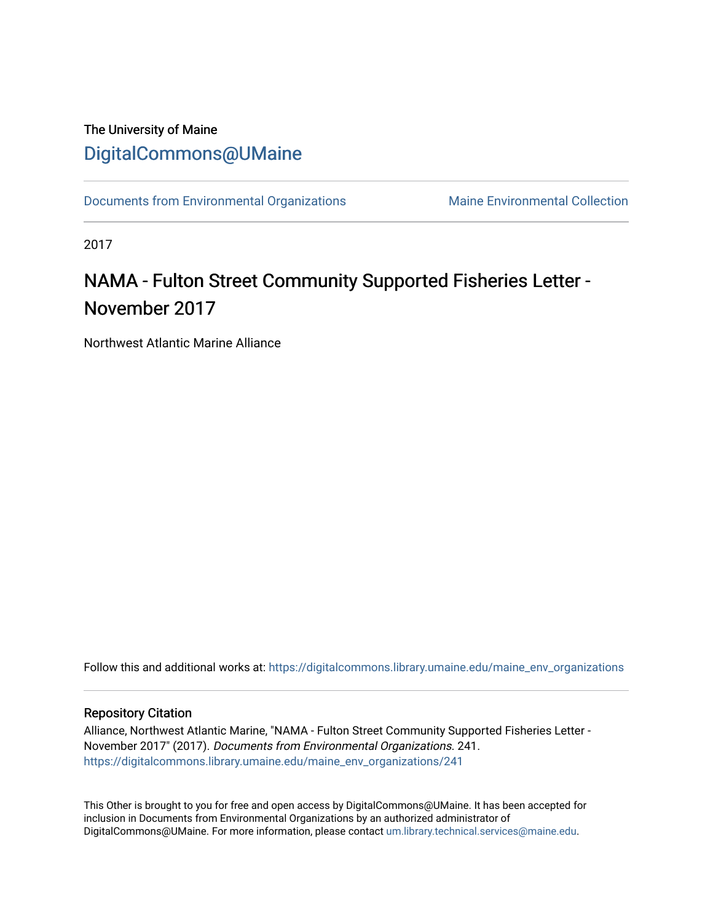## The University of Maine [DigitalCommons@UMaine](https://digitalcommons.library.umaine.edu/)

[Documents from Environmental Organizations](https://digitalcommons.library.umaine.edu/maine_env_organizations) Maine Environmental Collection

2017

# NAMA - Fulton Street Community Supported Fisheries Letter -November 2017

Northwest Atlantic Marine Alliance

Follow this and additional works at: [https://digitalcommons.library.umaine.edu/maine\\_env\\_organizations](https://digitalcommons.library.umaine.edu/maine_env_organizations?utm_source=digitalcommons.library.umaine.edu%2Fmaine_env_organizations%2F241&utm_medium=PDF&utm_campaign=PDFCoverPages)

### Repository Citation

Alliance, Northwest Atlantic Marine, "NAMA - Fulton Street Community Supported Fisheries Letter - November 2017" (2017). Documents from Environmental Organizations. 241. [https://digitalcommons.library.umaine.edu/maine\\_env\\_organizations/241](https://digitalcommons.library.umaine.edu/maine_env_organizations/241?utm_source=digitalcommons.library.umaine.edu%2Fmaine_env_organizations%2F241&utm_medium=PDF&utm_campaign=PDFCoverPages)

This Other is brought to you for free and open access by DigitalCommons@UMaine. It has been accepted for inclusion in Documents from Environmental Organizations by an authorized administrator of DigitalCommons@UMaine. For more information, please contact [um.library.technical.services@maine.edu](mailto:um.library.technical.services@maine.edu).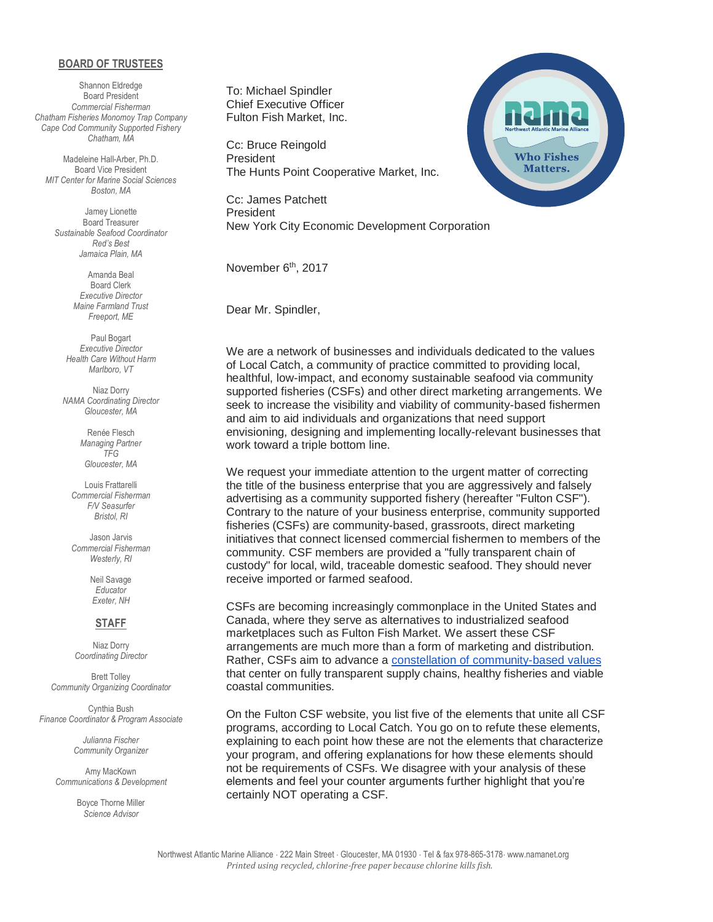#### **BOARD OF TRUSTEES**

Shannon Eldredge Board President *Commercial Fisherman Chatham Fisheries Monomoy Trap Company Cape Cod Community Supported Fishery Chatham, MA*

Madeleine Hall-Arber, Ph.D. Board Vice President *MIT Center for Marine Social Sciences Boston, MA*

Jamey Lionette Board Treasurer *Sustainable Seafood Coordinator Red's Best Jamaica Plain, MA*

> Amanda Beal Board Clerk *Executive Director Maine Farmland Trust Freeport, ME*

Paul Bogart *Executive Director Health Care Without Harm Marlboro, VT*

Niaz Dorry *NAMA Coordinating Director Gloucester, MA*

> Renée Flesch *Managing Partner TFG Gloucester, MA*

Louis Frattarelli *Commercial Fisherman F/V Seasurfer Bristol, RI*

Jason Jarvis *Commercial Fisherman Westerly, RI*

> Neil Savage *Educator Exeter, NH*

#### **STAFF**

Niaz Dorry *Coordinating Director*

Brett Tolley *Community Organizing Coordinator*

Cynthia Bush *Finance Coordinator & Program Associate*

> *Julianna Fischer Community Organizer*

Amy MacKown *Communications & Development*

> Boyce Thorne Miller *Science Advisor*

To: Michael Spindler Chief Executive Officer Fulton Fish Market, Inc.

Cc: Bruce Reingold President The Hunts Point Cooperative Market, Inc.

Cc: James Patchett President New York City Economic Development Corporation

November 6<sup>th</sup>, 2017

Dear Mr. Spindler,

We are a network of businesses and individuals dedicated to the values of Local Catch, a community of practice committed to providing local, healthful, low-impact, and economy sustainable seafood via community supported fisheries (CSFs) and other direct marketing arrangements. We seek to increase the visibility and viability of community-based fishermen and aim to aid individuals and organizations that need support envisioning, designing and implementing locally-relevant businesses that work toward a triple bottom line.

We request your immediate attention to the urgent matter of correcting the title of the business enterprise that you are aggressively and falsely advertising as a community supported fishery (hereafter "Fulton CSF"). Contrary to the nature of your business enterprise, community supported fisheries (CSFs) are community-based, grassroots, direct marketing initiatives that connect licensed commercial fishermen to members of the community. CSF members are provided a "fully transparent chain of custody" for local, wild, traceable domestic seafood. They should never receive imported or farmed seafood.

CSFs are becoming increasingly commonplace in the United States and Canada, where they serve as alternatives to industrialized seafood marketplaces such as Fulton Fish Market. We assert these CSF arrangements are much more than a form of marketing and distribution. Rather, CSFs aim to advance a [constellation of community-based values](https://localcatch.org/core-values/) that center on fully transparent supply chains, healthy fisheries and viable coastal communities.

On the Fulton CSF website, you list five of the elements that unite all CSF programs, according to Local Catch. You go on to refute these elements, explaining to each point how these are not the elements that characterize your program, and offering explanations for how these elements should not be requirements of CSFs. We disagree with your analysis of these elements and feel your counter arguments further highlight that you're certainly NOT operating a CSF.

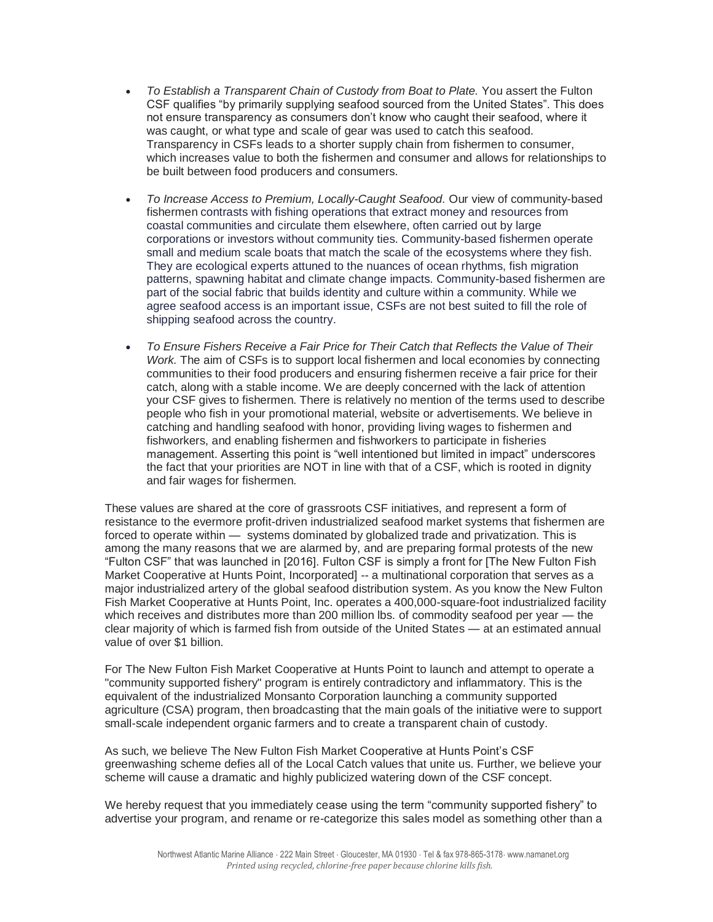- *To Establish a Transparent Chain of Custody from Boat to Plate.* You assert the Fulton CSF qualifies "by primarily supplying seafood sourced from the United States". This does not ensure transparency as consumers don't know who caught their seafood, where it was caught, or what type and scale of gear was used to catch this seafood. Transparency in CSFs leads to a shorter supply chain from fishermen to consumer, which increases value to both the fishermen and consumer and allows for relationships to be built between food producers and consumers.
- *To Increase Access to Premium, Locally-Caught Seafood.* Our view of community-based fishermen contrasts with fishing operations that extract money and resources from coastal communities and circulate them elsewhere, often carried out by large corporations or investors without community ties. Community-based fishermen operate small and medium scale boats that match the scale of the ecosystems where they fish. They are ecological experts attuned to the nuances of ocean rhythms, fish migration patterns, spawning habitat and climate change impacts. Community-based fishermen are part of the social fabric that builds identity and culture within a community. While we agree seafood access is an important issue, CSFs are not best suited to fill the role of shipping seafood across the country.
- *To Ensure Fishers Receive a Fair Price for Their Catch that Reflects the Value of Their Work.* The aim of CSFs is to support local fishermen and local economies by connecting communities to their food producers and ensuring fishermen receive a fair price for their catch, along with a stable income. We are deeply concerned with the lack of attention your CSF gives to fishermen. There is relatively no mention of the terms used to describe people who fish in your promotional material, website or advertisements. We believe in catching and handling seafood with honor, providing living wages to fishermen and fishworkers, and enabling fishermen and fishworkers to participate in fisheries management. Asserting this point is "well intentioned but limited in impact" underscores the fact that your priorities are NOT in line with that of a CSF, which is rooted in dignity and fair wages for fishermen.

These values are shared at the core of grassroots CSF initiatives, and represent a form of resistance to the evermore profit-driven industrialized seafood market systems that fishermen are forced to operate within — systems dominated by globalized trade and privatization. This is among the many reasons that we are alarmed by, and are preparing formal protests of the new "Fulton CSF" that was launched in [2016]. Fulton CSF is simply a front for [The New Fulton Fish Market Cooperative at Hunts Point, Incorporated] -- a multinational corporation that serves as a major industrialized artery of the global seafood distribution system. As you know the New Fulton Fish Market Cooperative at Hunts Point, Inc. operates a 400,000-square-foot industrialized facility which receives and distributes more than 200 million lbs. of commodity seafood per year — the clear majority of which is farmed fish from outside of the United States — at an estimated annual value of over \$1 billion.

For The New Fulton Fish Market Cooperative at Hunts Point to launch and attempt to operate a "community supported fishery" program is entirely contradictory and inflammatory. This is the equivalent of the industrialized Monsanto Corporation launching a community supported agriculture (CSA) program, then broadcasting that the main goals of the initiative were to support small-scale independent organic farmers and to create a transparent chain of custody.

As such, we believe The New Fulton Fish Market Cooperative at Hunts Point's CSF greenwashing scheme defies all of the Local Catch values that unite us. Further, we believe your scheme will cause a dramatic and highly publicized watering down of the CSF concept.

We hereby request that you immediately cease using the term "community supported fishery" to advertise your program, and rename or re-categorize this sales model as something other than a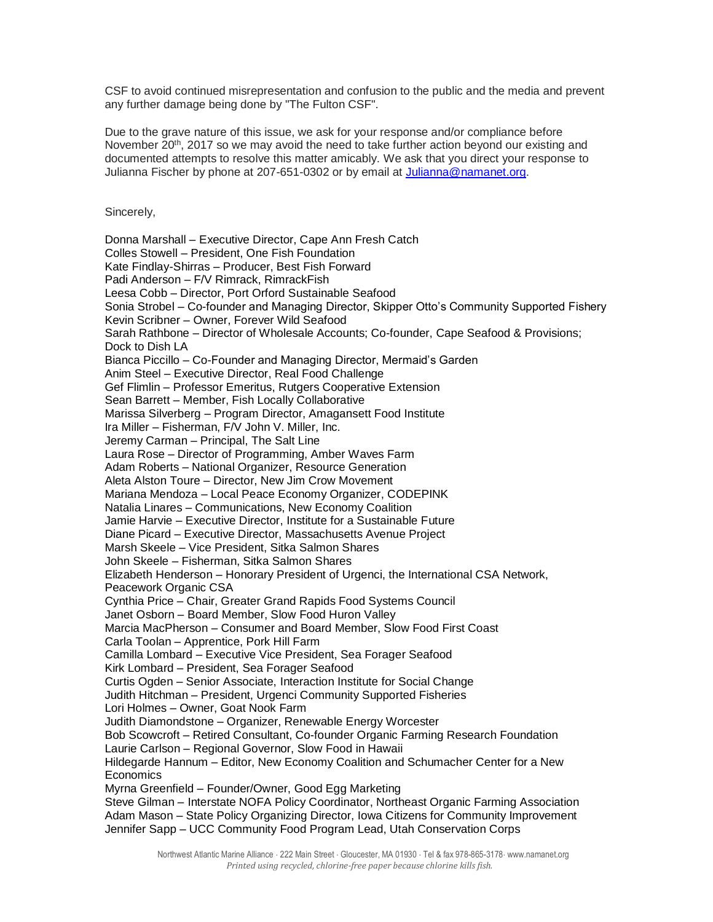CSF to avoid continued misrepresentation and confusion to the public and the media and prevent any further damage being done by "The Fulton CSF".

Due to the grave nature of this issue, we ask for your response and/or compliance before November  $20<sup>th</sup>$ , 2017 so we may avoid the need to take further action beyond our existing and documented attempts to resolve this matter amicably. We ask that you direct your response to Julianna Fischer by phone at 207-651-0302 or by email at [Julianna@namanet.org.](mailto:Julianna@namanet.org)

Sincerely,

Donna Marshall – Executive Director, Cape Ann Fresh Catch Colles Stowell – President, One Fish Foundation Kate Findlay-Shirras – Producer, Best Fish Forward Padi Anderson – F/V Rimrack, RimrackFish Leesa Cobb – Director, Port Orford Sustainable Seafood Sonia Strobel – Co-founder and Managing Director, Skipper Otto's Community Supported Fishery Kevin Scribner – Owner, Forever Wild Seafood Sarah Rathbone – Director of Wholesale Accounts; Co-founder, Cape Seafood & Provisions; Dock to Dish LA Bianca Piccillo – Co-Founder and Managing Director, Mermaid's Garden Anim Steel – Executive Director, Real Food Challenge Gef Flimlin – Professor Emeritus, Rutgers Cooperative Extension Sean Barrett – Member, Fish Locally Collaborative Marissa Silverberg – Program Director, Amagansett Food Institute Ira Miller – Fisherman, F/V John V. Miller, Inc. Jeremy Carman – Principal, The Salt Line Laura Rose – Director of Programming, Amber Waves Farm Adam Roberts – National Organizer, Resource Generation Aleta Alston Toure – Director, New Jim Crow Movement Mariana Mendoza – Local Peace Economy Organizer, CODEPINK Natalia Linares – Communications, New Economy Coalition Jamie Harvie – Executive Director, Institute for a Sustainable Future Diane Picard – Executive Director, Massachusetts Avenue Project Marsh Skeele – Vice President, Sitka Salmon Shares John Skeele – Fisherman, Sitka Salmon Shares Elizabeth Henderson – Honorary President of Urgenci, the International CSA Network, Peacework Organic CSA Cynthia Price – Chair, Greater Grand Rapids Food Systems Council Janet Osborn – Board Member, Slow Food Huron Valley Marcia MacPherson – Consumer and Board Member, Slow Food First Coast Carla Toolan – Apprentice, Pork Hill Farm Camilla Lombard – Executive Vice President, Sea Forager Seafood Kirk Lombard – President, Sea Forager Seafood Curtis Ogden – Senior Associate, Interaction Institute for Social Change Judith Hitchman – President, Urgenci Community Supported Fisheries Lori Holmes – Owner, Goat Nook Farm Judith Diamondstone – Organizer, Renewable Energy Worcester Bob Scowcroft – Retired Consultant, Co-founder Organic Farming Research Foundation Laurie Carlson – Regional Governor, Slow Food in Hawaii Hildegarde Hannum – Editor, New Economy Coalition and Schumacher Center for a New **Economics** Myrna Greenfield – Founder/Owner, Good Egg Marketing Steve Gilman – Interstate NOFA Policy Coordinator, Northeast Organic Farming Association Adam Mason – State Policy Organizing Director, Iowa Citizens for Community Improvement Jennifer Sapp – UCC Community Food Program Lead, Utah Conservation Corps